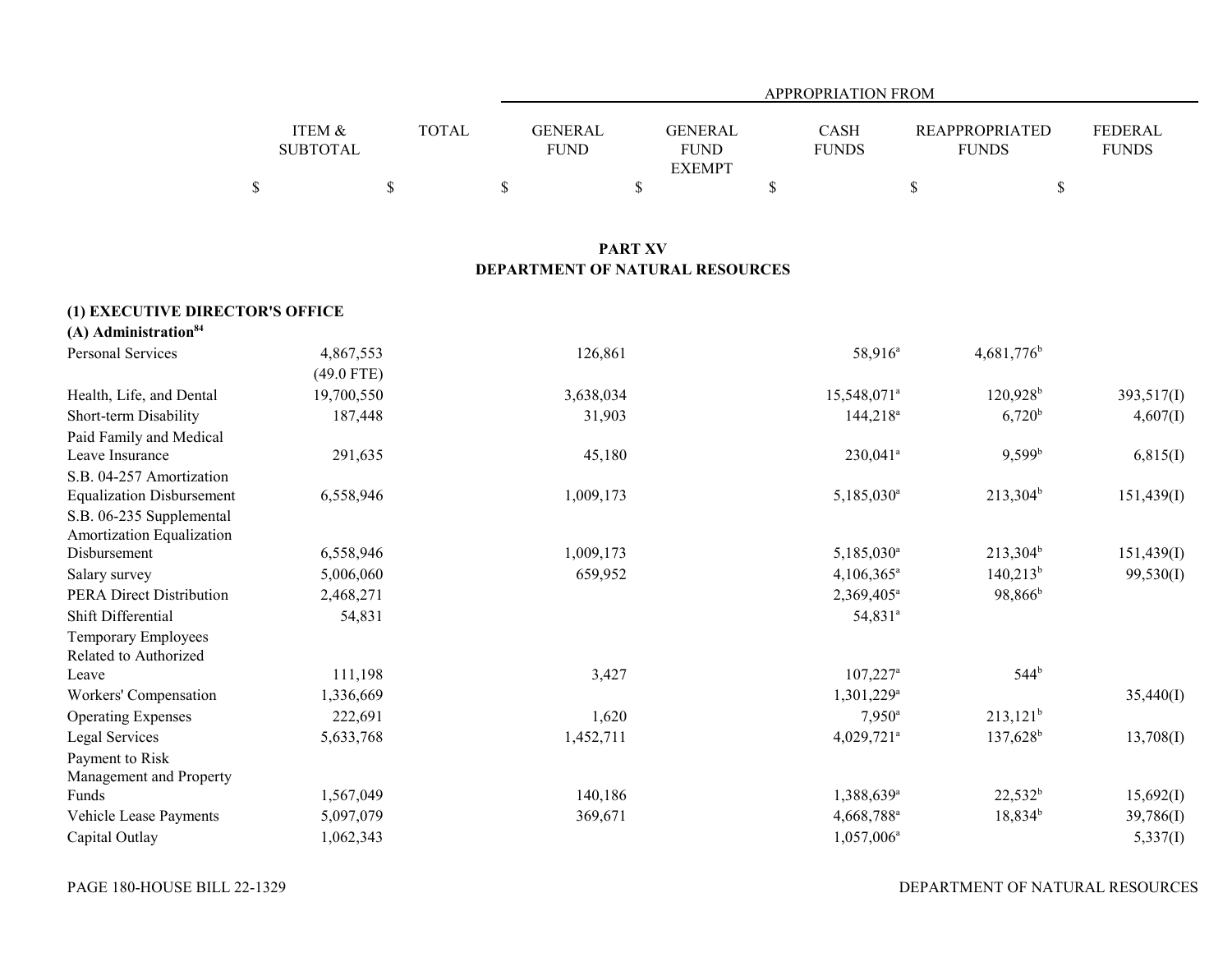|                                                       |                           |              |                                 |                                                | <b>APPROPRIATION FROM</b> |                                       |                                |
|-------------------------------------------------------|---------------------------|--------------|---------------------------------|------------------------------------------------|---------------------------|---------------------------------------|--------------------------------|
|                                                       | ITEM &<br><b>SUBTOTAL</b> | <b>TOTAL</b> | <b>GENERAL</b><br><b>FUND</b>   | <b>GENERAL</b><br><b>FUND</b><br><b>EXEMPT</b> |                           | <b>REAPPROPRIATED</b><br><b>FUNDS</b> | <b>FEDERAL</b><br><b>FUNDS</b> |
|                                                       | $\mathbb S$               | $\mathbb S$  | \$                              | \$                                             | \$                        | $\$$                                  | $\mathbb S$                    |
|                                                       |                           |              |                                 | <b>PART XV</b>                                 |                           |                                       |                                |
|                                                       |                           |              | DEPARTMENT OF NATURAL RESOURCES |                                                |                           |                                       |                                |
| (1) EXECUTIVE DIRECTOR'S OFFICE                       |                           |              |                                 |                                                |                           |                                       |                                |
| $(A)$ Administration <sup>84</sup>                    |                           |              |                                 |                                                |                           |                                       |                                |
| Personal Services                                     | 4,867,553<br>$(49.0$ FTE) |              | 126,861                         |                                                | 58,916 <sup>a</sup>       | $4,681,776$ <sup>b</sup>              |                                |
| Health, Life, and Dental                              | 19,700,550                |              | 3,638,034                       |                                                | 15,548,071 <sup>a</sup>   | $120,928$ <sup>b</sup>                | 393,517(I)                     |
| Short-term Disability                                 | 187,448                   |              | 31,903                          |                                                | $144,218^a$               | $6,720^{\rm b}$                       | 4,607(1)                       |
| Paid Family and Medical                               |                           |              |                                 |                                                |                           |                                       |                                |
| Leave Insurance                                       | 291,635                   |              | 45,180                          |                                                | $230,041$ <sup>a</sup>    | $9,599^{\rm b}$                       | 6,815(I)                       |
| S.B. 04-257 Amortization                              |                           |              |                                 |                                                |                           |                                       |                                |
| <b>Equalization Disbursement</b>                      | 6,558,946                 |              | 1,009,173                       |                                                | 5,185,030 <sup>a</sup>    | $213,304^b$                           | 151,439(I)                     |
| S.B. 06-235 Supplemental<br>Amortization Equalization |                           |              |                                 |                                                |                           |                                       |                                |
| Disbursement                                          | 6,558,946                 |              | 1,009,173                       |                                                | 5,185,030 <sup>a</sup>    | $213,304^b$                           | 151,439(I)                     |
| Salary survey                                         | 5,006,060                 |              | 659,952                         |                                                | 4,106,365 <sup>a</sup>    | $140,213^b$                           | 99,530(I)                      |
| <b>PERA Direct Distribution</b>                       | 2,468,271                 |              |                                 |                                                | 2,369,405 <sup>a</sup>    | 98,866 <sup>b</sup>                   |                                |
| Shift Differential                                    | 54,831                    |              |                                 |                                                | $54,831^a$                |                                       |                                |
| <b>Temporary Employees</b><br>Related to Authorized   |                           |              |                                 |                                                |                           |                                       |                                |
| Leave                                                 | 111,198                   |              | 3,427                           |                                                | $107,227$ <sup>a</sup>    | $544^{b}$                             |                                |
| Workers' Compensation                                 | 1,336,669                 |              |                                 |                                                | 1,301,229 <sup>a</sup>    |                                       | 35,440(I)                      |
| <b>Operating Expenses</b>                             | 222,691                   |              | 1,620                           |                                                | $7,950^{\rm a}$           | $213,121^b$                           |                                |
| Legal Services                                        | 5,633,768                 |              | 1,452,711                       |                                                | 4,029,721 <sup>a</sup>    | $137,628$ <sup>b</sup>                | 13,708(I)                      |
| Payment to Risk                                       |                           |              |                                 |                                                |                           |                                       |                                |
| Management and Property                               |                           |              |                                 |                                                |                           |                                       |                                |
| Funds                                                 | 1,567,049                 |              | 140,186                         |                                                | 1,388,639 <sup>a</sup>    | $22,532^b$                            | 15,692(I)                      |
| Vehicle Lease Payments                                | 5,097,079                 |              | 369,671                         |                                                | 4,668,788 <sup>a</sup>    | $18,834^b$                            | 39,786(I)                      |
| Capital Outlay                                        | 1,062,343                 |              |                                 |                                                | $1,057,006^a$             |                                       | 5,337(I)                       |

DEPARTMENT OF NATURAL RESOURCES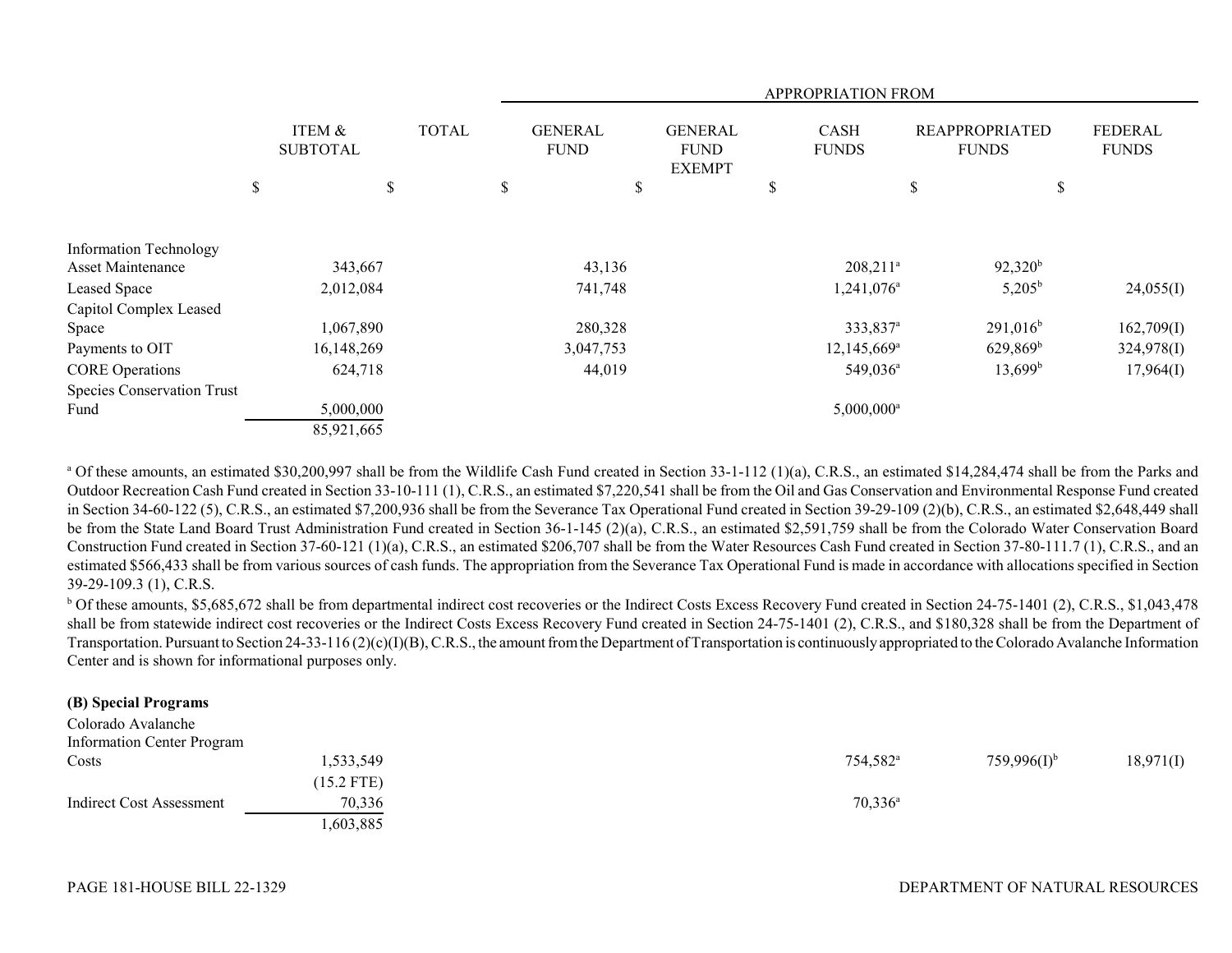|                                   |                           |              |                               |                                                |    | <b>APPROPRIATION FROM</b>   |                                       |                                |
|-----------------------------------|---------------------------|--------------|-------------------------------|------------------------------------------------|----|-----------------------------|---------------------------------------|--------------------------------|
|                                   | ITEM &<br><b>SUBTOTAL</b> | <b>TOTAL</b> | <b>GENERAL</b><br><b>FUND</b> | <b>GENERAL</b><br><b>FUND</b><br><b>EXEMPT</b> |    | <b>CASH</b><br><b>FUNDS</b> | <b>REAPPROPRIATED</b><br><b>FUNDS</b> | <b>FEDERAL</b><br><b>FUNDS</b> |
|                                   | \$<br>\$                  |              | \$                            | \$                                             | \$ |                             | \$<br>\$                              |                                |
| <b>Information Technology</b>     |                           |              |                               |                                                |    |                             |                                       |                                |
| Asset Maintenance                 | 343,667                   |              | 43,136                        |                                                |    | $208,211^a$                 | $92,320^b$                            |                                |
| Leased Space                      | 2,012,084                 |              | 741,748                       |                                                |    | 1,241,076 <sup>a</sup>      | $5,205^{\rm b}$                       | 24,055(I)                      |
| Capitol Complex Leased            |                           |              |                               |                                                |    |                             |                                       |                                |
| Space                             | 1,067,890                 |              | 280,328                       |                                                |    | 333,837 <sup>a</sup>        | $291,016^b$                           | 162,709(I)                     |
| Payments to OIT                   | 16,148,269                |              | 3,047,753                     |                                                |    | 12,145,669 <sup>a</sup>     | $629,869^{\rm b}$                     | 324,978(I)                     |
| <b>CORE</b> Operations            | 624,718                   |              | 44,019                        |                                                |    | 549,036 <sup>a</sup>        | $13,699^b$                            | 17,964(I)                      |
| <b>Species Conservation Trust</b> |                           |              |                               |                                                |    |                             |                                       |                                |
| Fund                              | 5,000,000                 |              |                               |                                                |    | $5,000,000$ <sup>a</sup>    |                                       |                                |
|                                   | 85,921,665                |              |                               |                                                |    |                             |                                       |                                |

<sup>a</sup> Of these amounts, an estimated \$30,200,997 shall be from the Wildlife Cash Fund created in Section 33-1-112 (1)(a), C.R.S., an estimated \$14,284,474 shall be from the Parks and Outdoor Recreation Cash Fund created in Section 33-10-111 (1), C.R.S., an estimated \$7,220,541 shall be from the Oil and Gas Conservation and Environmental Response Fund created in Section 34-60-122 (5), C.R.S., an estimated \$7,200,936 shall be from the Severance Tax Operational Fund created in Section 39-29-109 (2)(b), C.R.S., an estimated \$2,648,449 shall be from the State Land Board Trust Administration Fund created in Section 36-1-145 (2)(a), C.R.S., an estimated \$2,591,759 shall be from the Colorado Water Conservation Board Construction Fund created in Section 37-60-121 (1)(a), C.R.S., an estimated \$206,707 shall be from the Water Resources Cash Fund created in Section 37-80-111.7 (1), C.R.S., and an estimated \$566,433 shall be from various sources of cash funds. The appropriation from the Severance Tax Operational Fund is made in accordance with allocations specified in Section 39-29-109.3 (1), C.R.S.

<sup>b</sup> Of these amounts, \$5,685,672 shall be from departmental indirect cost recoveries or the Indirect Costs Excess Recovery Fund created in Section 24-75-1401 (2), C.R.S., \$1,043,478 shall be from statewide indirect cost recoveries or the Indirect Costs Excess Recovery Fund created in Section 24-75-1401 (2), C.R.S., and \$180,328 shall be from the Department of Transportation. Pursuant to Section 24-33-116 (2)(c)(I)(B), C.R.S., the amount from the Department of Transportation is continuously appropriated to the Colorado Avalanche Information Center and is shown for informational purposes only.

### **(B) Special Programs**

| Colorado Avalanche                |              |                      |                  |           |
|-----------------------------------|--------------|----------------------|------------------|-----------|
| <b>Information Center Program</b> |              |                      |                  |           |
| Costs                             | 1,533,549    | 754,582 <sup>a</sup> | $759,996(1)^{b}$ | 18,971(I) |
|                                   | $(15.2$ FTE) |                      |                  |           |
| Indirect Cost Assessment          | 70,336       | $70,336^{\circ}$     |                  |           |
|                                   | .603,885     |                      |                  |           |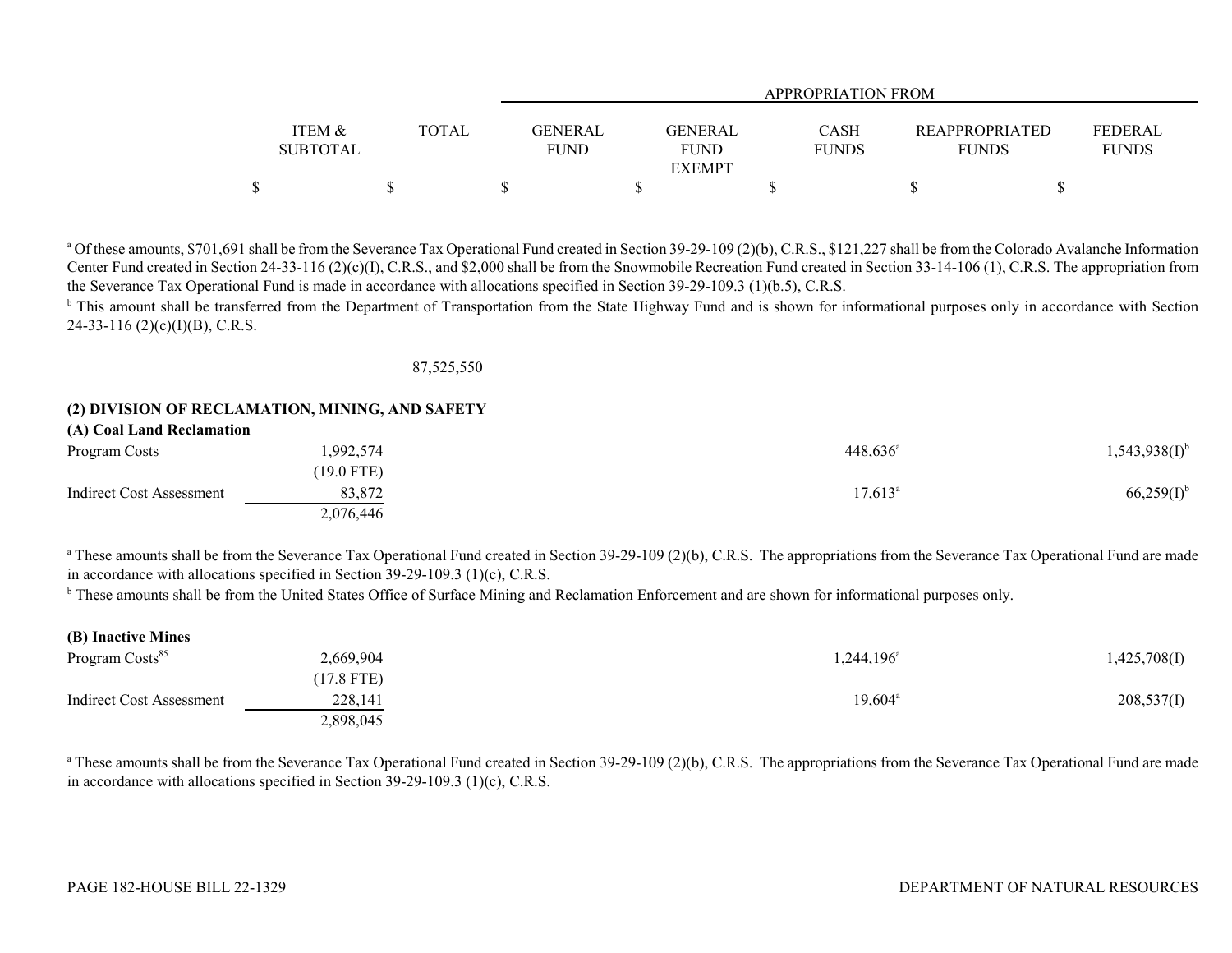|                   |              | <b>APPROPRIATION FROM</b> |                |              |                       |              |  |  |  |  |  |
|-------------------|--------------|---------------------------|----------------|--------------|-----------------------|--------------|--|--|--|--|--|
|                   |              |                           |                |              |                       |              |  |  |  |  |  |
| <b>ITEM &amp;</b> | <b>TOTAL</b> | <b>GENERAL</b>            | <b>GENERAL</b> | <b>CASH</b>  | <b>REAPPROPRIATED</b> | FEDERAL      |  |  |  |  |  |
| <b>SUBTOTAL</b>   |              | FUND                      | <b>FUND</b>    | <b>FUNDS</b> | <b>FUNDS</b>          | <b>FUNDS</b> |  |  |  |  |  |
|                   |              |                           | <b>EXEMPT</b>  |              |                       |              |  |  |  |  |  |
|                   |              |                           |                |              |                       |              |  |  |  |  |  |

<sup>a</sup> Of these amounts, \$701,691 shall be from the Severance Tax Operational Fund created in Section 39-29-109 (2)(b), C.R.S., \$121,227 shall be from the Colorado Avalanche Information Center Fund created in Section 24-33-116 (2)(c)(I), C.R.S., and \$2,000 shall be from the Snowmobile Recreation Fund created in Section 33-14-106 (1), C.R.S. The appropriation from the Severance Tax Operational Fund is made in accordance with allocations specified in Section 39-29-109.3 (1)(b.5), C.R.S.

<sup>b</sup> This amount shall be transferred from the Department of Transportation from the State Highway Fund and is shown for informational purposes only in accordance with Section  $24-33-116$  (2)(c)(I)(B), C.R.S.

87,525,550

# **(2) DIVISION OF RECLAMATION, MINING, AND SAFETY**

| (A) Coal Land Reclamation |              |                   |                    |
|---------------------------|--------------|-------------------|--------------------|
| Program Costs             | 1,992,574    | $448,636^{\circ}$ | $1,543,938(1)^{b}$ |
|                           | $(19.0$ FTE) |                   |                    |
| Indirect Cost Assessment  | 83,872       | $17.613^{\circ}$  | $66,259(I)^{b}$    |
|                           | 2,076,446    |                   |                    |

<sup>a</sup> These amounts shall be from the Severance Tax Operational Fund created in Section 39-29-109 (2)(b), C.R.S. The appropriations from the Severance Tax Operational Fund are made in accordance with allocations specified in Section 39-29-109.3 (1)(c), C.R.S.

<sup>b</sup> These amounts shall be from the United States Office of Surface Mining and Reclamation Enforcement and are shown for informational purposes only.

| (B) Inactive Mines          |              |                     |              |
|-----------------------------|--------------|---------------------|--------------|
| Program Costs <sup>85</sup> | 2,669,904    | $1,244,196^{\circ}$ | 1,425,708(I) |
|                             | $(17.8$ FTE) |                     |              |
| Indirect Cost Assessment    | 228,141      | $19,604^{\circ}$    | 208,537(I)   |
|                             | 2,898,045    |                     |              |

<sup>a</sup> These amounts shall be from the Severance Tax Operational Fund created in Section 39-29-109 (2)(b), C.R.S. The appropriations from the Severance Tax Operational Fund are made in accordance with allocations specified in Section 39-29-109.3 (1)(c), C.R.S.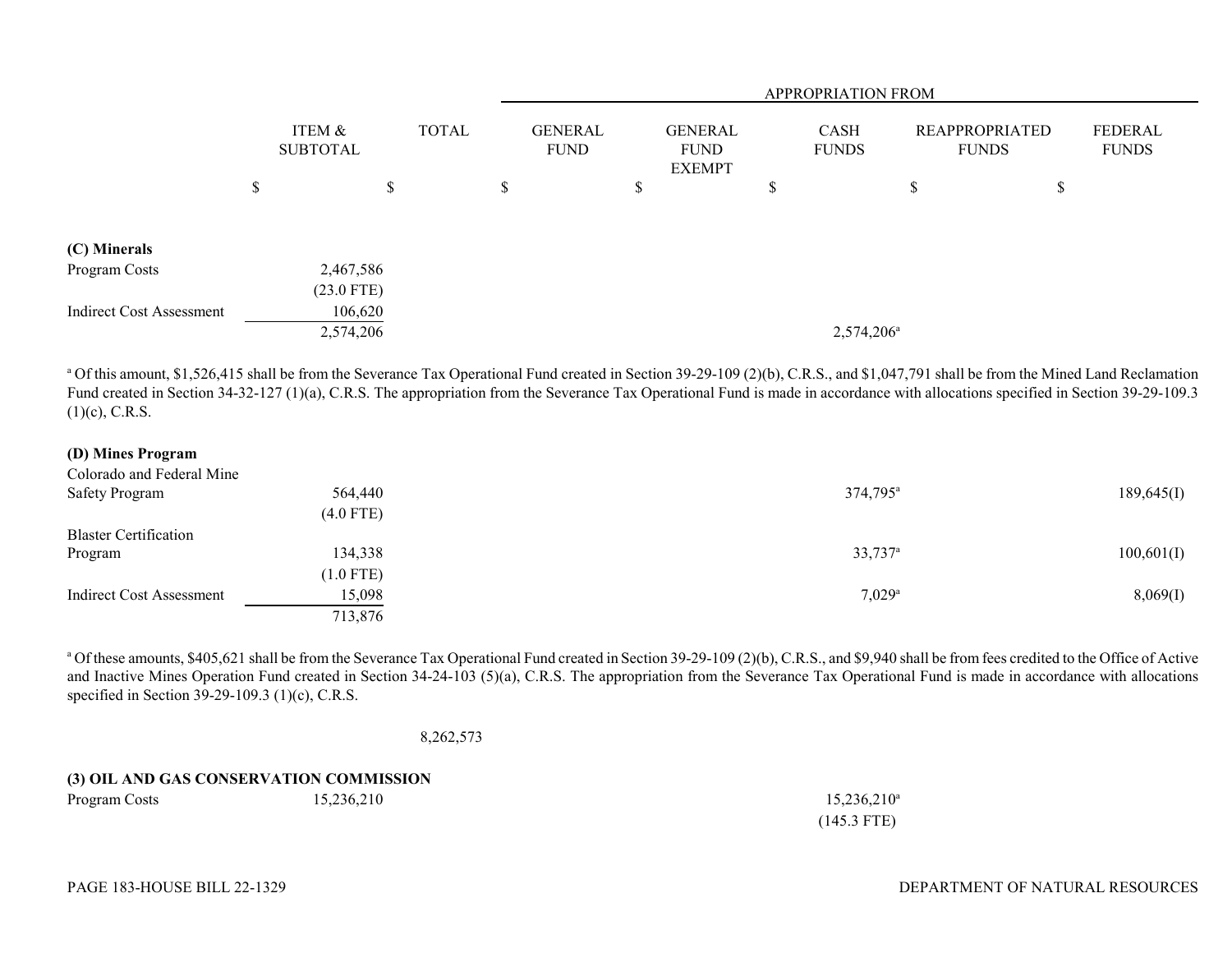|                                 |                           |   |              |                               | <b>APPROPRIATION FROM</b> |                                                |  |                             |                        |                                       |   |                         |
|---------------------------------|---------------------------|---|--------------|-------------------------------|---------------------------|------------------------------------------------|--|-----------------------------|------------------------|---------------------------------------|---|-------------------------|
|                                 | ITEM &<br><b>SUBTOTAL</b> |   | <b>TOTAL</b> | <b>GENERAL</b><br><b>FUND</b> |                           | <b>GENERAL</b><br><b>FUND</b><br><b>EXEMPT</b> |  | <b>CASH</b><br><b>FUNDS</b> |                        | <b>REAPPROPRIATED</b><br><b>FUNDS</b> |   | FEDERAL<br><b>FUNDS</b> |
|                                 | \$                        | S |              | ъ                             |                           | D                                              |  | J.                          |                        | \$                                    | P |                         |
|                                 |                           |   |              |                               |                           |                                                |  |                             |                        |                                       |   |                         |
| (C) Minerals                    |                           |   |              |                               |                           |                                                |  |                             |                        |                                       |   |                         |
| Program Costs                   | 2,467,586                 |   |              |                               |                           |                                                |  |                             |                        |                                       |   |                         |
|                                 | $(23.0$ FTE)              |   |              |                               |                           |                                                |  |                             |                        |                                       |   |                         |
| <b>Indirect Cost Assessment</b> | 106,620                   |   |              |                               |                           |                                                |  |                             |                        |                                       |   |                         |
|                                 | 2,574,206                 |   |              |                               |                           |                                                |  |                             | 2,574,206 <sup>a</sup> |                                       |   |                         |

<sup>a</sup> Of this amount, \$1,526,415 shall be from the Severance Tax Operational Fund created in Section 39-29-109 (2)(b), C.R.S., and \$1,047,791 shall be from the Mined Land Reclamation Fund created in Section 34-32-127 (1)(a), C.R.S. The appropriation from the Severance Tax Operational Fund is made in accordance with allocations specified in Section 39-29-109.3  $(1)(c)$ , C.R.S.

## **(D) Mines Program**

| Colorado and Federal Mine    |             |                       |            |
|------------------------------|-------------|-----------------------|------------|
| Safety Program               | 564,440     | 374,795 <sup>a</sup>  | 189,645(I) |
|                              | $(4.0$ FTE) |                       |            |
| <b>Blaster Certification</b> |             |                       |            |
| Program                      | 134,338     | $33,737$ <sup>a</sup> | 100,601(I) |
|                              | $(1.0$ FTE) |                       |            |
| Indirect Cost Assessment     | 15,098      | $7,029$ <sup>a</sup>  | 8,069(1)   |
|                              | 713,876     |                       |            |

<sup>a</sup> Of these amounts, \$405,621 shall be from the Severance Tax Operational Fund created in Section 39-29-109 (2)(b), C.R.S., and \$9,940 shall be from fees credited to the Office of Active and Inactive Mines Operation Fund created in Section 34-24-103 (5)(a), C.R.S. The appropriation from the Severance Tax Operational Fund is made in accordance with allocations specified in Section 39-29-109.3 (1)(c), C.R.S.

8,262,573

## **(3) OIL AND GAS CONSERVATION COMMISSION** Program Costs 15,236,210 15,236,210 15,236,210

(145.3 FTE)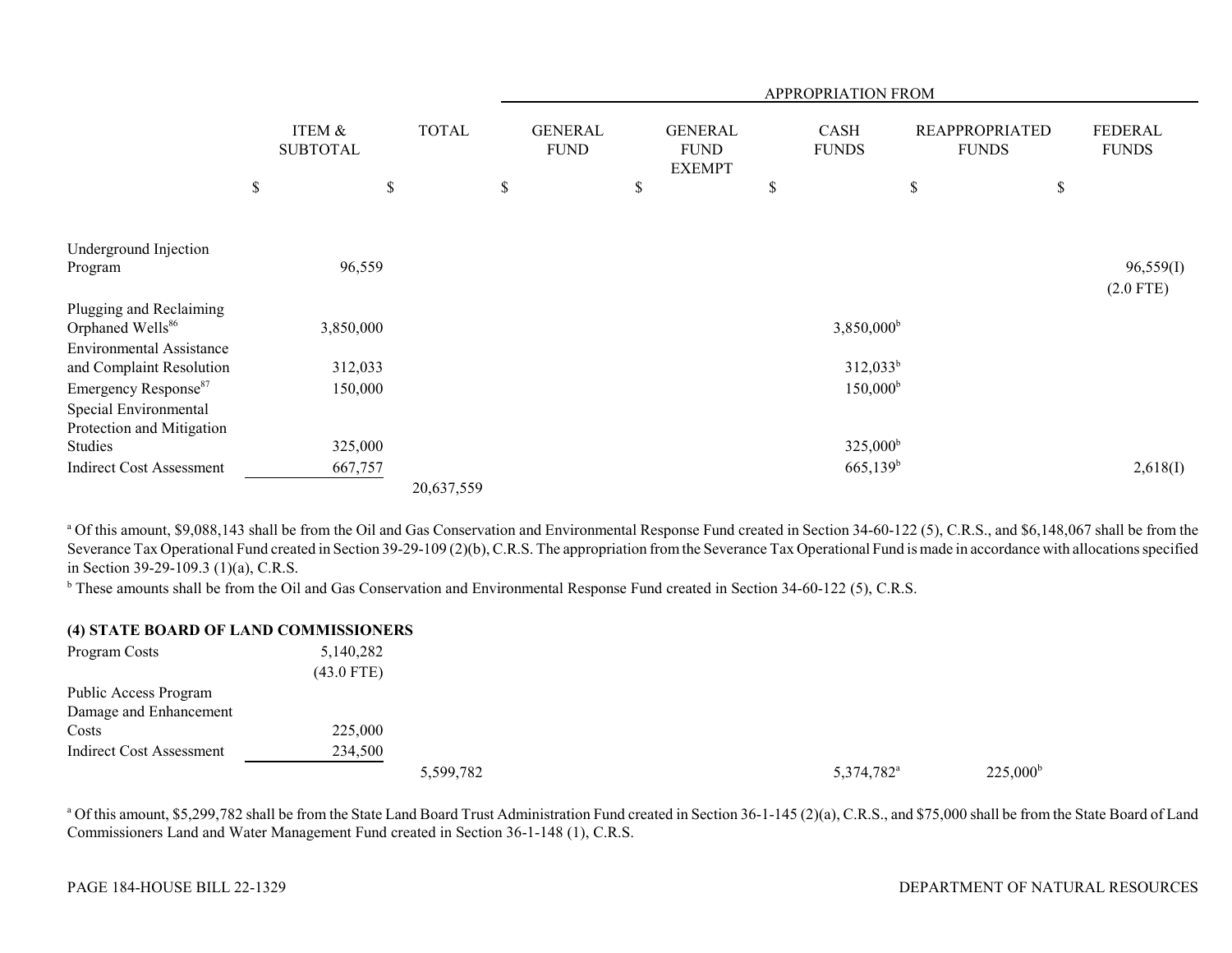|                                                             |                           |    |              |                               |                                                | APPROPRIATION FROM          |      |                                       |                                |
|-------------------------------------------------------------|---------------------------|----|--------------|-------------------------------|------------------------------------------------|-----------------------------|------|---------------------------------------|--------------------------------|
|                                                             | ITEM &<br><b>SUBTOTAL</b> |    | <b>TOTAL</b> | <b>GENERAL</b><br><b>FUND</b> | <b>GENERAL</b><br><b>FUND</b><br><b>EXEMPT</b> | <b>CASH</b><br><b>FUNDS</b> |      | <b>REAPPROPRIATED</b><br><b>FUNDS</b> | <b>FEDERAL</b><br><b>FUNDS</b> |
|                                                             | \$                        | \$ |              | \$                            | \$                                             | \$                          | $\$$ | \$                                    |                                |
|                                                             |                           |    |              |                               |                                                |                             |      |                                       |                                |
| Underground Injection<br>Program                            | 96,559                    |    |              |                               |                                                |                             |      |                                       | 96,559(I)<br>$(2.0$ FTE)       |
| Plugging and Reclaiming<br>Orphaned Wells <sup>86</sup>     | 3,850,000                 |    |              |                               |                                                | 3,850,000 <sup>b</sup>      |      |                                       |                                |
| <b>Environmental Assistance</b><br>and Complaint Resolution | 312,033                   |    |              |                               |                                                | $312,033^b$                 |      |                                       |                                |
| Emergency Response <sup>87</sup><br>Special Environmental   | 150,000                   |    |              |                               |                                                | $150,000^{\rm b}$           |      |                                       |                                |
| Protection and Mitigation<br>Studies                        | 325,000                   |    |              |                               |                                                | $325,000^{\rm b}$           |      |                                       |                                |
| <b>Indirect Cost Assessment</b>                             | 667,757                   |    | 20,637,559   |                               |                                                | $665,139^b$                 |      |                                       | 2,618(I)                       |

<sup>a</sup> Of this amount, \$9,088,143 shall be from the Oil and Gas Conservation and Environmental Response Fund created in Section 34-60-122 (5), C.R.S., and \$6,148,067 shall be from the Severance Tax Operational Fund created in Section 39-29-109 (2)(b), C.R.S. The appropriation from the Severance Tax Operational Fund is made in accordance with allocations specified in Section 39-29-109.3 (1)(a), C.R.S.

<sup>b</sup> These amounts shall be from the Oil and Gas Conservation and Environmental Response Fund created in Section 34-60-122 (5), C.R.S.

### **(4) STATE BOARD OF LAND COMMISSIONERS**

| Program Costs                   | 5,140,282    |           |                        |                   |
|---------------------------------|--------------|-----------|------------------------|-------------------|
|                                 | $(43.0$ FTE) |           |                        |                   |
| Public Access Program           |              |           |                        |                   |
| Damage and Enhancement          |              |           |                        |                   |
| Costs                           | 225,000      |           |                        |                   |
| <b>Indirect Cost Assessment</b> | 234,500      |           |                        |                   |
|                                 |              | 5,599,782 | 5,374,782 <sup>a</sup> | $225,000^{\rm b}$ |

<sup>a</sup> Of this amount, \$5,299,782 shall be from the State Land Board Trust Administration Fund created in Section 36-1-145 (2)(a), C.R.S., and \$75,000 shall be from the State Board of Land Commissioners Land and Water Management Fund created in Section 36-1-148 (1), C.R.S.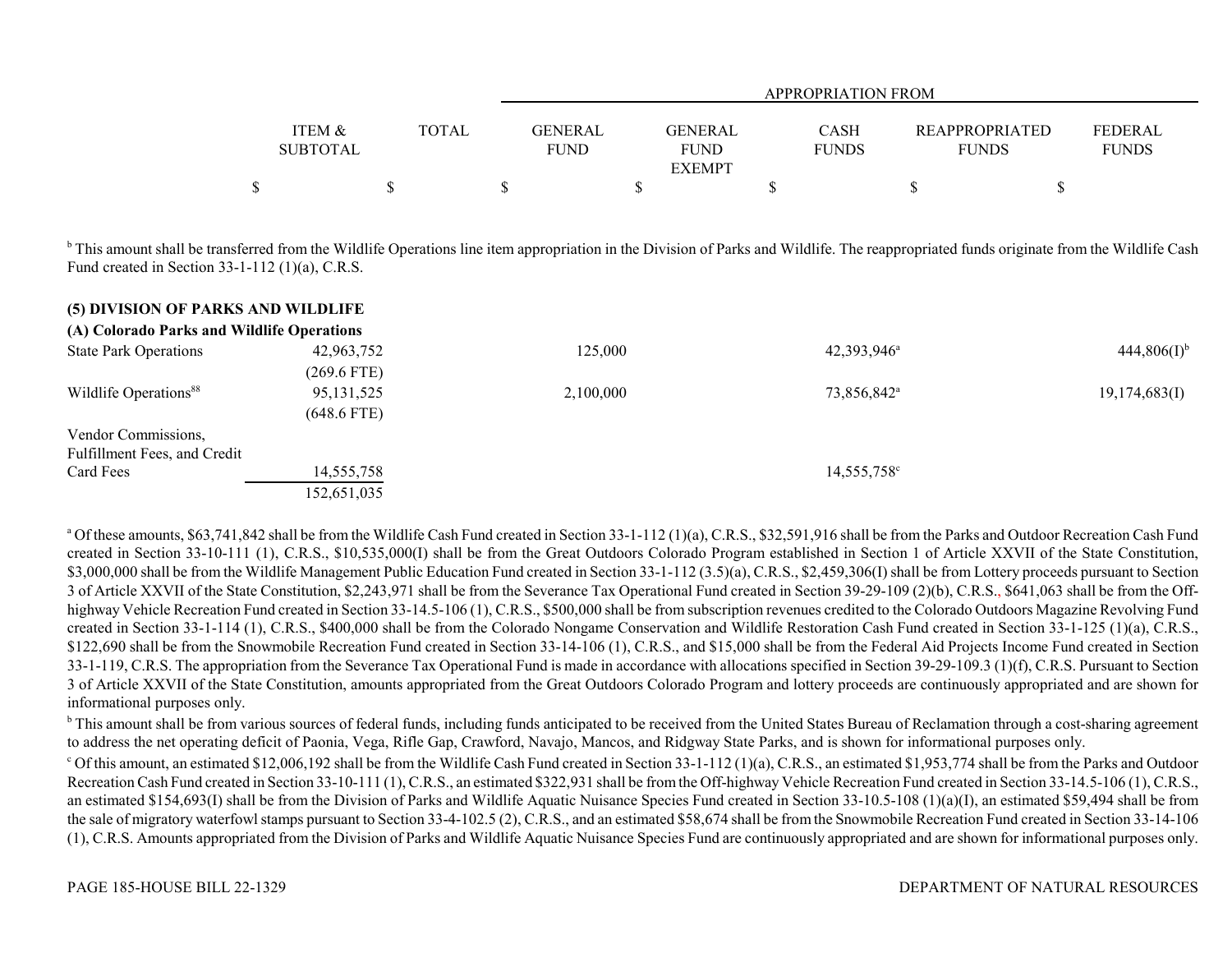|                   |              |             |                | APPROPRIATION FROM |                       |              |
|-------------------|--------------|-------------|----------------|--------------------|-----------------------|--------------|
|                   |              |             |                |                    |                       |              |
| <b>ITEM &amp;</b> | <b>TOTAL</b> | GENERAL     | <b>GENERAL</b> | <b>CASH</b>        | <b>REAPPROPRIATED</b> | FEDERAL      |
| <b>SUBTOTAL</b>   |              | <b>FUND</b> | <b>FUND</b>    | <b>FUNDS</b>       | <b>FUNDS</b>          | <b>FUNDS</b> |
|                   |              |             | <b>EXEMPT</b>  |                    |                       |              |
|                   |              |             |                |                    |                       |              |

<sup>b</sup> This amount shall be transferred from the Wildlife Operations line item appropriation in the Division of Parks and Wildlife. The reappropriated funds originate from the Wildlife Cash Fund created in Section 33-1-112 (1)(a), C.R.S.

| (5) DIVISION OF PARKS AND WILDLIFE         |               |           |                         |                  |
|--------------------------------------------|---------------|-----------|-------------------------|------------------|
| (A) Colorado Parks and Wildlife Operations |               |           |                         |                  |
| <b>State Park Operations</b>               | 42,963,752    | 125,000   | $42,393,946^{\circ}$    | $444,806(I)^{b}$ |
|                                            | $(269.6$ FTE) |           |                         |                  |
| Wildlife Operations <sup>88</sup>          | 95, 131, 525  | 2,100,000 | 73,856,842 <sup>a</sup> | 19,174,683(I)    |
|                                            | $(648.6$ FTE) |           |                         |                  |
| Vendor Commissions,                        |               |           |                         |                  |
| Fulfillment Fees, and Credit               |               |           |                         |                  |
| Card Fees                                  | 14,555,758    |           | $14,555,758^{\circ}$    |                  |
|                                            | 152,651,035   |           |                         |                  |

<sup>a</sup> Of these amounts, \$63,741,842 shall be from the Wildlife Cash Fund created in Section 33-1-112 (1)(a), C.R.S., \$32,591,916 shall be from the Parks and Outdoor Recreation Cash Fund created in Section 33-10-111 (1), C.R.S., \$10,535,000(I) shall be from the Great Outdoors Colorado Program established in Section 1 of Article XXVII of the State Constitution, \$3,000,000 shall be from the Wildlife Management Public Education Fund created in Section 33-1-112 (3.5)(a), C.R.S., \$2,459,306(I) shall be from Lottery proceeds pursuant to Section 3 of Article XXVII of the State Constitution, \$2,243,971 shall be from the Severance Tax Operational Fund created in Section 39-29-109 (2)(b), C.R.S., \$641,063 shall be from the Offhighway Vehicle Recreation Fund created in Section 33-14.5-106 (1), C.R.S., \$500,000 shall be from subscription revenues credited to the Colorado Outdoors Magazine Revolving Fund created in Section 33-1-114 (1), C.R.S., \$400,000 shall be from the Colorado Nongame Conservation and Wildlife Restoration Cash Fund created in Section 33-1-125 (1)(a), C.R.S., \$122,690 shall be from the Snowmobile Recreation Fund created in Section 33-14-106 (1), C.R.S., and \$15,000 shall be from the Federal Aid Projects Income Fund created in Section 33-1-119, C.R.S. The appropriation from the Severance Tax Operational Fund is made in accordance with allocations specified in Section 39-29-109.3 (1)(f), C.R.S. Pursuant to Section 3 of Article XXVII of the State Constitution, amounts appropriated from the Great Outdoors Colorado Program and lottery proceeds are continuously appropriated and are shown for informational purposes only.

<sup>b</sup> This amount shall be from various sources of federal funds, including funds anticipated to be received from the United States Bureau of Reclamation through a cost-sharing agreement to address the net operating deficit of Paonia, Vega, Rifle Gap, Crawford, Navajo, Mancos, and Ridgway State Parks, and is shown for informational purposes only.

 $\degree$  Of this amount, an estimated \$12,006,192 shall be from the Wildlife Cash Fund created in Section 33-1-112 (1)(a), C.R.S., an estimated \$1,953,774 shall be from the Parks and Outdoor Recreation Cash Fund created in Section 33-10-111 (1), C.R.S., an estimated \$322,931 shall be from the Off-highway Vehicle Recreation Fund created in Section 33-14.5-106 (1), C.R.S., an estimated \$154,693(I) shall be from the Division of Parks and Wildlife Aquatic Nuisance Species Fund created in Section 33-10.5-108 (1)(a)(I), an estimated \$59,494 shall be from the sale of migratory waterfowl stamps pursuant to Section 33-4-102.5 (2), C.R.S., and an estimated \$58,674 shall be from the Snowmobile Recreation Fund created in Section 33-14-106 (1), C.R.S. Amounts appropriated from the Division of Parks and Wildlife Aquatic Nuisance Species Fund are continuously appropriated and are shown for informational purposes only.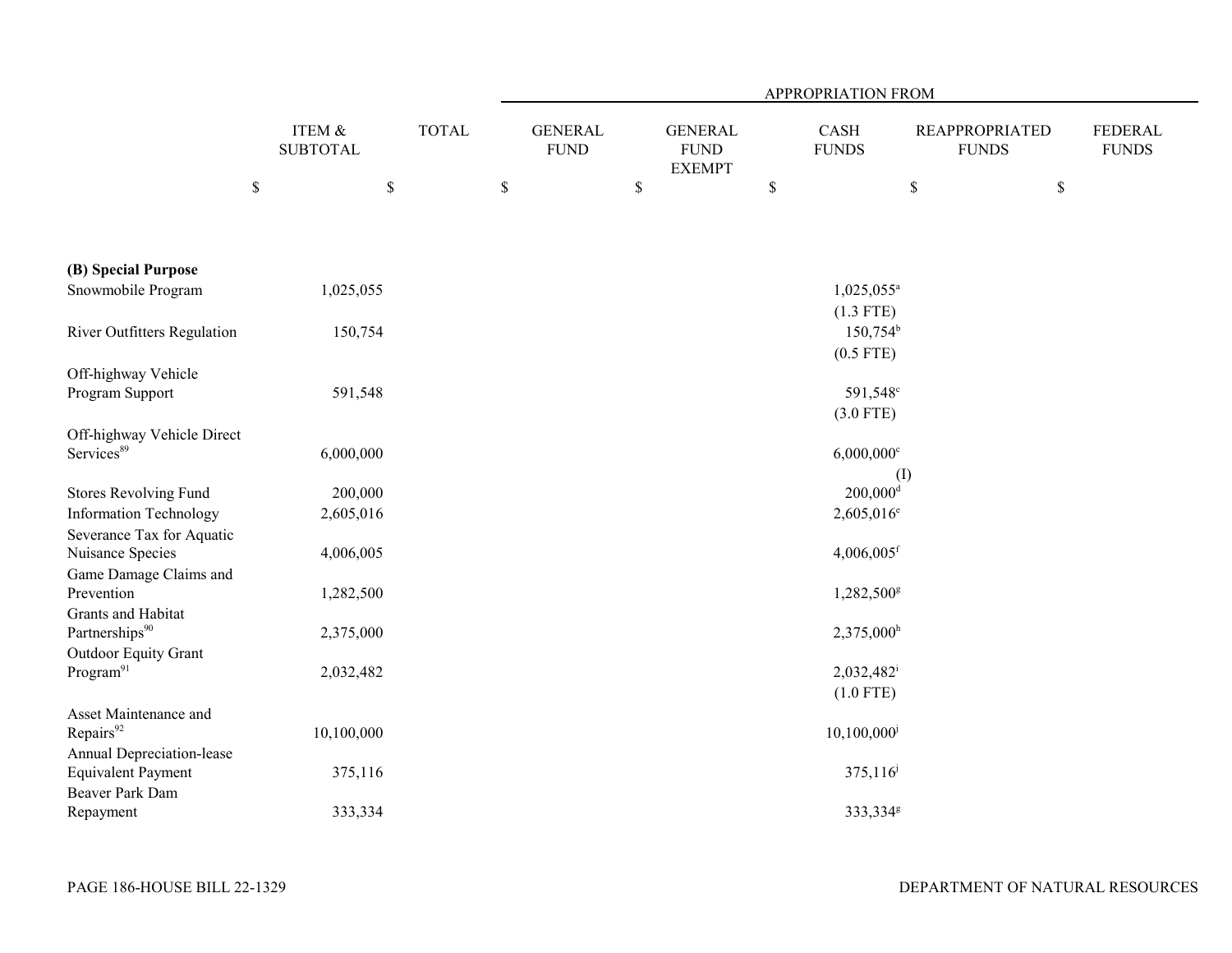|                                                                                         |                           |              | APPROPRIATION FROM |                               |    |                                                |             |                               |      |                                       |                                |
|-----------------------------------------------------------------------------------------|---------------------------|--------------|--------------------|-------------------------------|----|------------------------------------------------|-------------|-------------------------------|------|---------------------------------------|--------------------------------|
|                                                                                         | ITEM &<br><b>SUBTOTAL</b> | <b>TOTAL</b> |                    | <b>GENERAL</b><br><b>FUND</b> |    | <b>GENERAL</b><br><b>FUND</b><br><b>EXEMPT</b> |             | CASH<br><b>FUNDS</b>          |      | <b>REAPPROPRIATED</b><br><b>FUNDS</b> | <b>FEDERAL</b><br><b>FUNDS</b> |
|                                                                                         | $\mathbb S$               | $\$$         | $\$$               |                               | \$ |                                                | $\mathbb S$ |                               | $\$$ | $\$$                                  |                                |
| (B) Special Purpose                                                                     |                           |              |                    |                               |    |                                                |             |                               |      |                                       |                                |
| Snowmobile Program                                                                      | 1,025,055                 |              |                    |                               |    |                                                |             | $1,025,055^{\circ}$           |      |                                       |                                |
|                                                                                         |                           |              |                    |                               |    |                                                |             | $(1.3$ FTE)                   |      |                                       |                                |
| River Outfitters Regulation                                                             | 150,754                   |              |                    |                               |    |                                                |             | $150,754^{\rm b}$             |      |                                       |                                |
| Off-highway Vehicle                                                                     |                           |              |                    |                               |    |                                                |             | $(0.5$ FTE)                   |      |                                       |                                |
| Program Support                                                                         | 591,548                   |              |                    |                               |    |                                                |             | 591,548 <sup>c</sup>          |      |                                       |                                |
|                                                                                         |                           |              |                    |                               |    |                                                |             | $(3.0$ FTE)                   |      |                                       |                                |
| Off-highway Vehicle Direct<br>Services <sup>89</sup>                                    | 6,000,000                 |              |                    |                               |    |                                                |             | $6,000,000$ <sup>c</sup>      |      |                                       |                                |
| <b>Stores Revolving Fund</b>                                                            | 200,000                   |              |                    |                               |    |                                                |             | (I)<br>$200,000$ <sup>d</sup> |      |                                       |                                |
| <b>Information Technology</b>                                                           | 2,605,016                 |              |                    |                               |    |                                                |             | 2,605,016 <sup>e</sup>        |      |                                       |                                |
| Severance Tax for Aquatic                                                               |                           |              |                    |                               |    |                                                |             |                               |      |                                       |                                |
| Nuisance Species                                                                        | 4,006,005                 |              |                    |                               |    |                                                |             | $4,006,005$ <sup>f</sup>      |      |                                       |                                |
| Game Damage Claims and                                                                  |                           |              |                    |                               |    |                                                |             |                               |      |                                       |                                |
| Prevention                                                                              | 1,282,500                 |              |                    |                               |    |                                                |             | 1,282,500g                    |      |                                       |                                |
| Grants and Habitat                                                                      |                           |              |                    |                               |    |                                                |             |                               |      |                                       |                                |
| Partnerships <sup>90</sup>                                                              | 2,375,000                 |              |                    |                               |    |                                                |             | $2,375,000$ <sup>h</sup>      |      |                                       |                                |
| Outdoor Equity Grant<br>Program <sup>91</sup>                                           | 2,032,482                 |              |                    |                               |    |                                                |             | 2,032,482<br>$(1.0$ FTE)      |      |                                       |                                |
| Asset Maintenance and<br>Repairs <sup>92</sup>                                          | 10,100,000                |              |                    |                               |    |                                                |             | $10,100,000$ <sup>j</sup>     |      |                                       |                                |
| <b>Annual Depreciation-lease</b><br><b>Equivalent Payment</b><br><b>Beaver Park Dam</b> | 375,116                   |              |                    |                               |    |                                                |             | $375,116^{j}$                 |      |                                       |                                |
| Repayment                                                                               | 333,334                   |              |                    |                               |    |                                                |             | 333,334 <sup>g</sup>          |      |                                       |                                |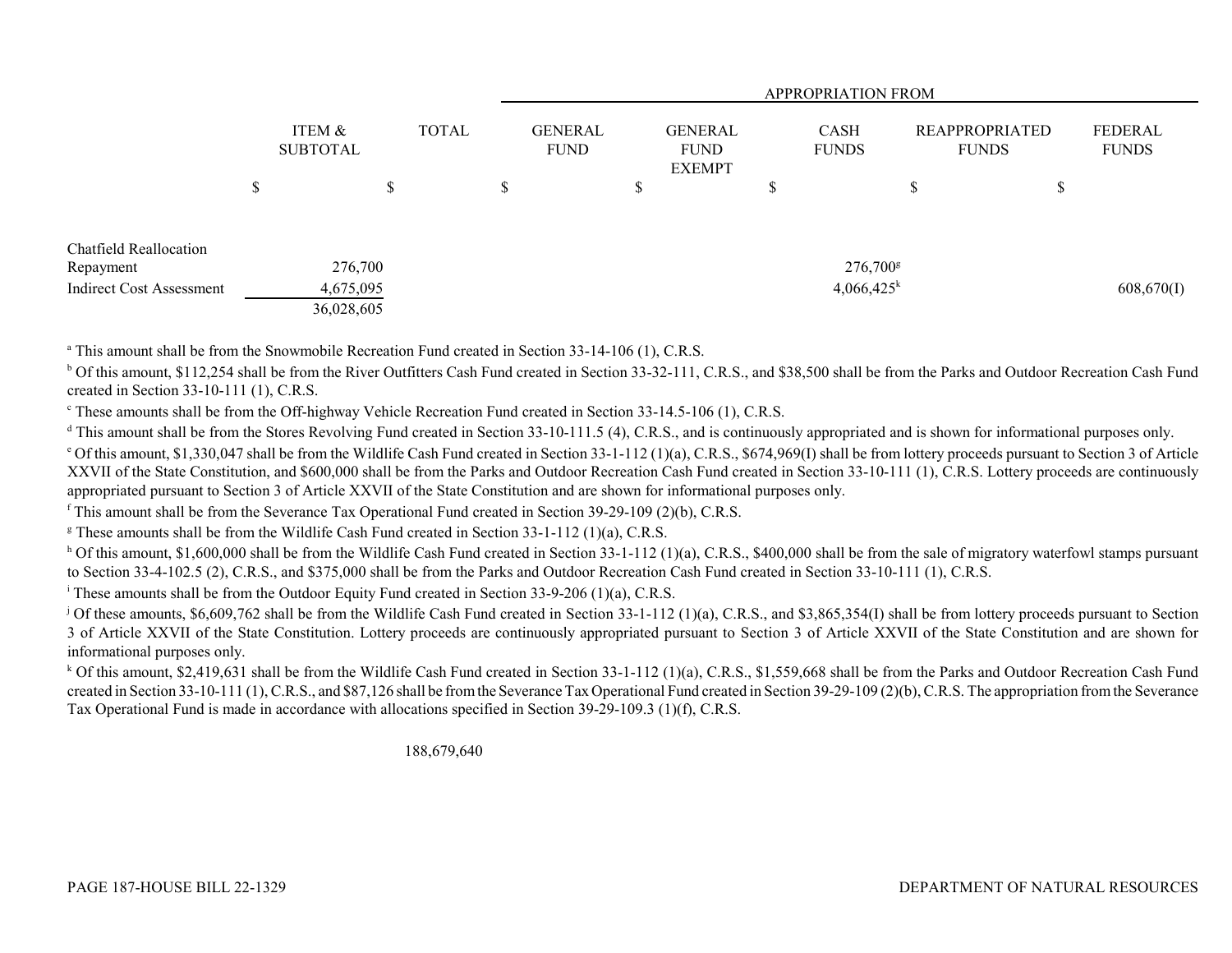|                                 |                           |            |              | <b>APPROPRIATION FROM</b> |                               |    |                                                |   |                             |                                       |    |                         |
|---------------------------------|---------------------------|------------|--------------|---------------------------|-------------------------------|----|------------------------------------------------|---|-----------------------------|---------------------------------------|----|-------------------------|
|                                 | ITEM &<br><b>SUBTOTAL</b> |            | <b>TOTAL</b> |                           | <b>GENERAL</b><br><b>FUND</b> |    | <b>GENERAL</b><br><b>FUND</b><br><b>EXEMPT</b> |   | <b>CASH</b><br><b>FUNDS</b> | <b>REAPPROPRIATED</b><br><b>FUNDS</b> |    | FEDERAL<br><b>FUNDS</b> |
|                                 | ₼<br>D                    | D          |              | D                         |                               | \$ |                                                | D |                             | J.                                    | \$ |                         |
| Chatfield Reallocation          |                           |            |              |                           |                               |    |                                                |   |                             |                                       |    |                         |
| Repayment                       |                           | 276,700    |              |                           |                               |    |                                                |   | $276,700$ <sup>g</sup>      |                                       |    |                         |
| <b>Indirect Cost Assessment</b> |                           | 4,675,095  |              |                           |                               |    |                                                |   | $4,066,425^k$               |                                       |    | 608,670(I)              |
|                                 |                           | 36,028,605 |              |                           |                               |    |                                                |   |                             |                                       |    |                         |

<sup>a</sup> This amount shall be from the Snowmobile Recreation Fund created in Section 33-14-106 (1), C.R.S.

<sup>b</sup> Of this amount, \$112,254 shall be from the River Outfitters Cash Fund created in Section 33-32-111, C.R.S., and \$38,500 shall be from the Parks and Outdoor Recreation Cash Fund created in Section 33-10-111 (1), C.R.S.

<sup>c</sup> These amounts shall be from the Off-highway Vehicle Recreation Fund created in Section 33-14.5-106 (1), C.R.S.

<sup>d</sup> This amount shall be from the Stores Revolving Fund created in Section 33-10-111.5 (4), C.R.S., and is continuously appropriated and is shown for informational purposes only.

 $^{\circ}$  Of this amount, \$1,330,047 shall be from the Wildlife Cash Fund created in Section 33-1-112 (1)(a), C.R.S., \$674,969(I) shall be from lottery proceeds pursuant to Section 3 of Article XXVII of the State Constitution, and \$600,000 shall be from the Parks and Outdoor Recreation Cash Fund created in Section 33-10-111 (1), C.R.S. Lottery proceeds are continuously appropriated pursuant to Section 3 of Article XXVII of the State Constitution and are shown for informational purposes only.

<sup>f</sup> This amount shall be from the Severance Tax Operational Fund created in Section 39-29-109 (2)(b), C.R.S.

<sup>g</sup> These amounts shall be from the Wildlife Cash Fund created in Section 33-1-112 (1)(a), C.R.S.

<sup>h</sup> Of this amount, \$1,600,000 shall be from the Wildlife Cash Fund created in Section 33-1-112 (1)(a), C.R.S., \$400,000 shall be from the sale of migratory waterfowl stamps pursuant to Section 33-4-102.5 (2), C.R.S., and \$375,000 shall be from the Parks and Outdoor Recreation Cash Fund created in Section 33-10-111 (1), C.R.S.

i These amounts shall be from the Outdoor Equity Fund created in Section 33-9-206 (1)(a), C.R.S.

<sup>j</sup> Of these amounts, \$6,609,762 shall be from the Wildlife Cash Fund created in Section 33-1-112 (1)(a), C.R.S., and \$3,865,354(I) shall be from lottery proceeds pursuant to Section 3 of Article XXVII of the State Constitution. Lottery proceeds are continuously appropriated pursuant to Section 3 of Article XXVII of the State Constitution and are shown for informational purposes only.

<sup>k</sup> Of this amount, \$2,419,631 shall be from the Wildlife Cash Fund created in Section 33-1-112 (1)(a), C.R.S., \$1,559,668 shall be from the Parks and Outdoor Recreation Cash Fund created in Section 33-10-111 (1), C.R.S., and \$87,126 shall be from the Severance Tax Operational Fund created in Section 39-29-109 (2)(b), C.R.S. The appropriation from the Severance Tax Operational Fund is made in accordance with allocations specified in Section 39-29-109.3 (1)(f), C.R.S.

188,679,640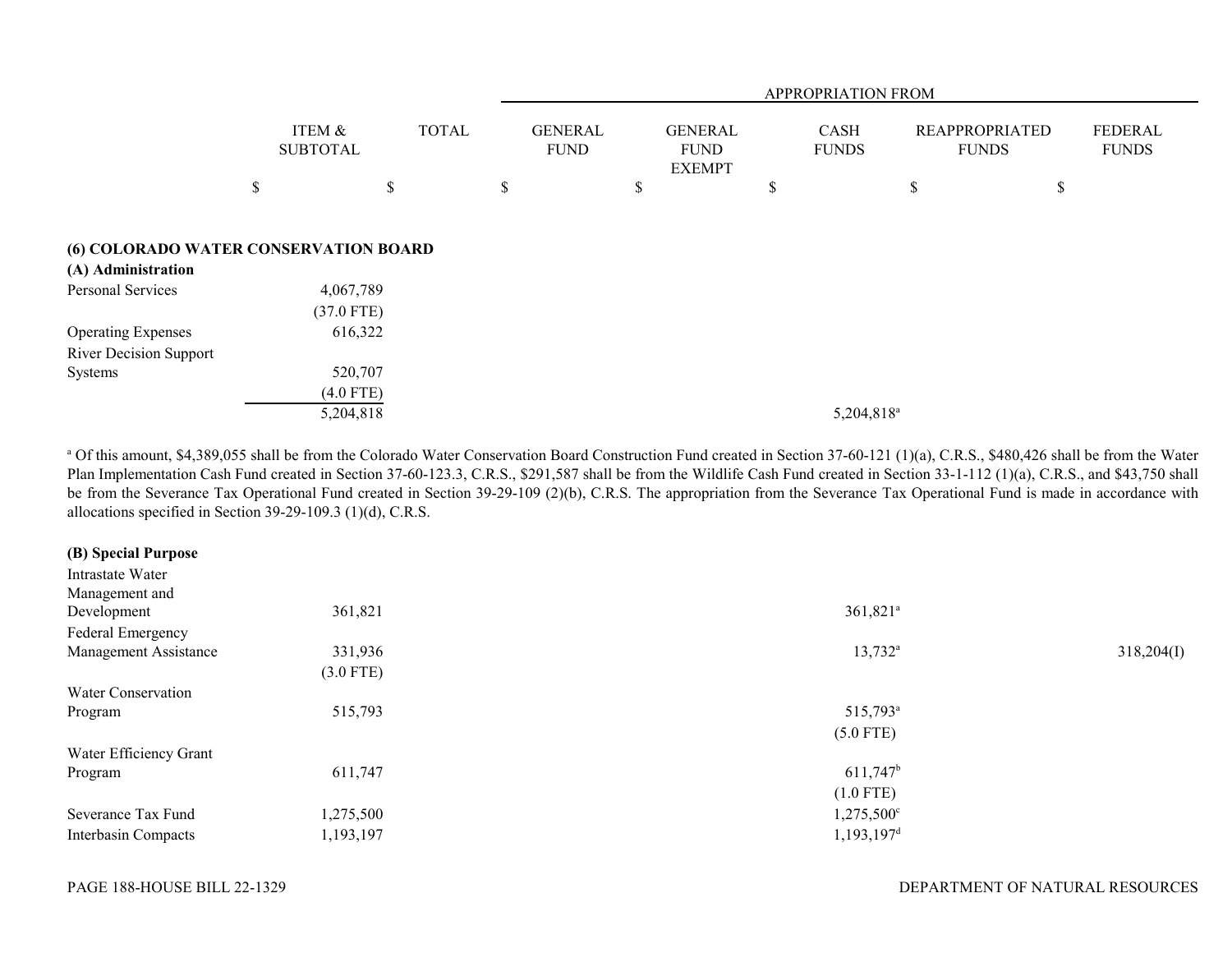|                                       |                           |              | APPROPRIATION FROM            |                                                |                             |                                       |                                |  |  |
|---------------------------------------|---------------------------|--------------|-------------------------------|------------------------------------------------|-----------------------------|---------------------------------------|--------------------------------|--|--|
|                                       | ITEM &<br><b>SUBTOTAL</b> | <b>TOTAL</b> | <b>GENERAL</b><br><b>FUND</b> | <b>GENERAL</b><br><b>FUND</b><br><b>EXEMPT</b> | <b>CASH</b><br><b>FUNDS</b> | <b>REAPPROPRIATED</b><br><b>FUNDS</b> | <b>FEDERAL</b><br><b>FUNDS</b> |  |  |
|                                       | \$                        | \$           | \$                            | \$                                             | \$                          | \$                                    | \$                             |  |  |
|                                       |                           |              |                               |                                                |                             |                                       |                                |  |  |
| (6) COLORADO WATER CONSERVATION BOARD |                           |              |                               |                                                |                             |                                       |                                |  |  |
| (A) Administration                    |                           |              |                               |                                                |                             |                                       |                                |  |  |
| Personal Services                     | 4,067,789                 |              |                               |                                                |                             |                                       |                                |  |  |
|                                       | $(37.0$ FTE)              |              |                               |                                                |                             |                                       |                                |  |  |
| <b>Operating Expenses</b>             | 616,322                   |              |                               |                                                |                             |                                       |                                |  |  |
| <b>River Decision Support</b>         |                           |              |                               |                                                |                             |                                       |                                |  |  |
| Systems                               | 520,707                   |              |                               |                                                |                             |                                       |                                |  |  |
|                                       | $(4.0$ FTE)               |              |                               |                                                |                             |                                       |                                |  |  |
|                                       | 5,204,818                 |              |                               |                                                | 5,204,818 <sup>a</sup>      |                                       |                                |  |  |

<sup>a</sup> Of this amount, \$4,389,055 shall be from the Colorado Water Conservation Board Construction Fund created in Section 37-60-121 (1)(a), C.R.S., \$480,426 shall be from the Water Plan Implementation Cash Fund created in Section 37-60-123.3, C.R.S., \$291,587 shall be from the Wildlife Cash Fund created in Section 33-1-112 (1)(a), C.R.S., and \$43,750 shall be from the Severance Tax Operational Fund created in Section 39-29-109 (2)(b), C.R.S. The appropriation from the Severance Tax Operational Fund is made in accordance with allocations specified in Section 39-29-109.3 (1)(d), C.R.S.

# **(B) Special Purpose**

| Intrastate Water          |             |                          |            |
|---------------------------|-------------|--------------------------|------------|
| Management and            |             |                          |            |
| Development               | 361,821     | 361,821 <sup>a</sup>     |            |
| Federal Emergency         |             |                          |            |
| Management Assistance     | 331,936     | $13,732^a$               | 318,204(I) |
|                           | $(3.0$ FTE) |                          |            |
| <b>Water Conservation</b> |             |                          |            |
| Program                   | 515,793     | 515,793 <sup>a</sup>     |            |
|                           |             | $(5.0$ FTE)              |            |
| Water Efficiency Grant    |             |                          |            |
| Program                   | 611,747     | $611,747$ <sup>b</sup>   |            |
|                           |             | $(1.0$ FTE)              |            |
| Severance Tax Fund        | 1,275,500   | $1,275,500^{\circ}$      |            |
| Interbasin Compacts       | 1,193,197   | $1,193,197$ <sup>d</sup> |            |
|                           |             |                          |            |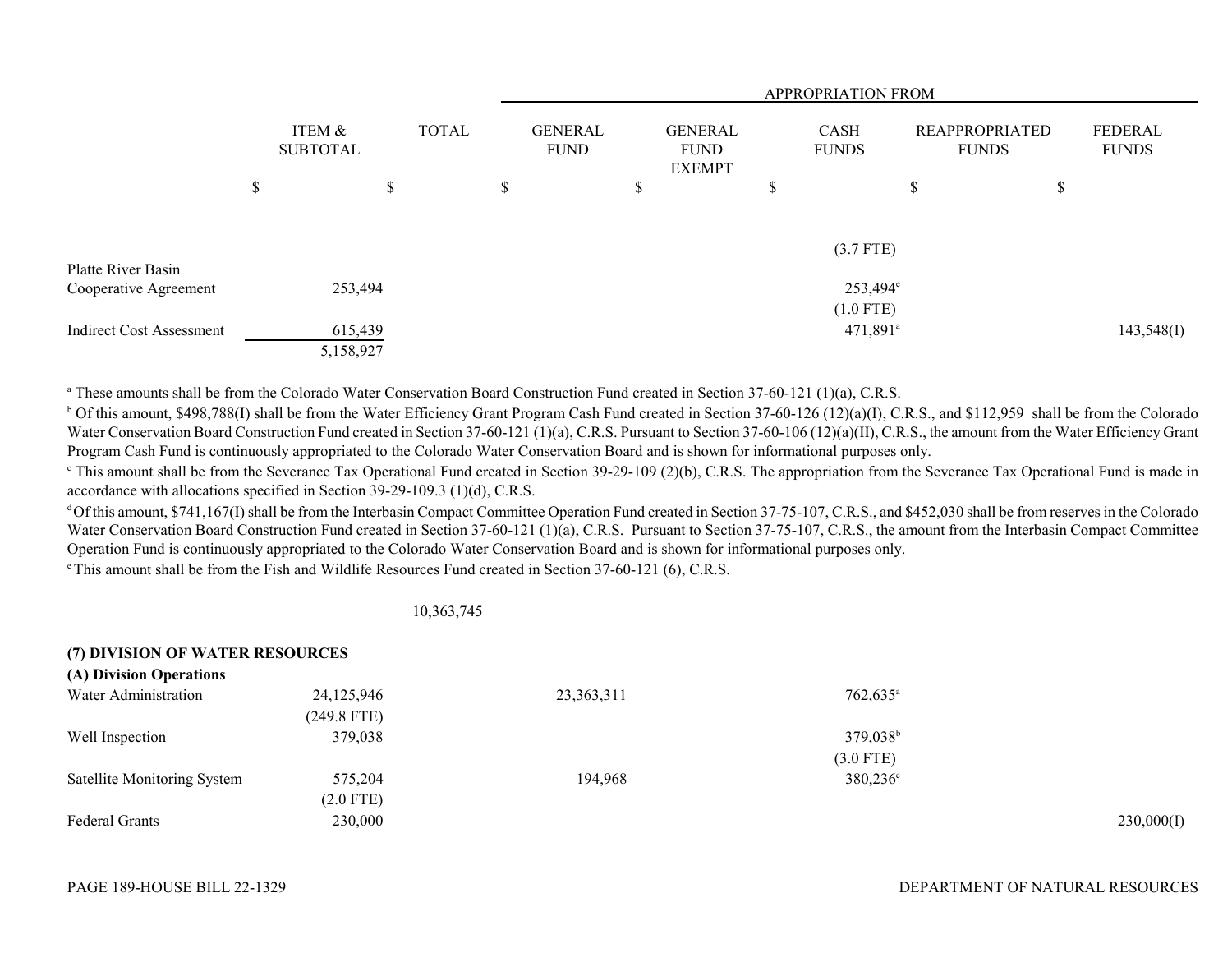|                                 |                           |           |              |  |                               | APPROPRIATION FROM |    |                                                |   |                             |                                       |    |                                |  |
|---------------------------------|---------------------------|-----------|--------------|--|-------------------------------|--------------------|----|------------------------------------------------|---|-----------------------------|---------------------------------------|----|--------------------------------|--|
|                                 | ITEM &<br><b>SUBTOTAL</b> |           | <b>TOTAL</b> |  | <b>GENERAL</b><br><b>FUND</b> |                    |    | <b>GENERAL</b><br><b>FUND</b><br><b>EXEMPT</b> |   | <b>CASH</b><br><b>FUNDS</b> | <b>REAPPROPRIATED</b><br><b>FUNDS</b> |    | <b>FEDERAL</b><br><b>FUNDS</b> |  |
|                                 | \$                        |           | \$           |  | \$                            |                    | \$ |                                                | P |                             | \$                                    | \$ |                                |  |
|                                 |                           |           |              |  |                               |                    |    |                                                |   | (3.7 FTE)                   |                                       |    |                                |  |
| Platte River Basin              |                           |           |              |  |                               |                    |    |                                                |   |                             |                                       |    |                                |  |
| Cooperative Agreement           |                           | 253,494   |              |  |                               |                    |    |                                                |   | $253,494^{\circ}$           |                                       |    |                                |  |
|                                 |                           |           |              |  |                               |                    |    |                                                |   | $(1.0$ FTE)                 |                                       |    |                                |  |
| <b>Indirect Cost Assessment</b> |                           | 615,439   |              |  |                               |                    |    |                                                |   | $471,891$ <sup>a</sup>      |                                       |    | 143,548(I)                     |  |
|                                 |                           | 5,158,927 |              |  |                               |                    |    |                                                |   |                             |                                       |    |                                |  |

<sup>a</sup> These amounts shall be from the Colorado Water Conservation Board Construction Fund created in Section 37-60-121 (1)(a), C.R.S.

<sup>b</sup> Of this amount, \$498,788(I) shall be from the Water Efficiency Grant Program Cash Fund created in Section 37-60-126 (12)(a)(I), C.R.S., and \$112,959 shall be from the Colorado Water Conservation Board Construction Fund created in Section 37-60-121 (1)(a), C.R.S. Pursuant to Section 37-60-106 (12)(a)(II), C.R.S., the amount from the Water Efficiency Grant Program Cash Fund is continuously appropriated to the Colorado Water Conservation Board and is shown for informational purposes only.

 $\degree$  This amount shall be from the Severance Tax Operational Fund created in Section 39-29-109 (2)(b), C.R.S. The appropriation from the Severance Tax Operational Fund is made in accordance with allocations specified in Section 39-29-109.3 (1)(d), C.R.S.

d Of this amount, \$741,167(I) shall be from the Interbasin Compact Committee Operation Fund created in Section 37-75-107, C.R.S., and \$452,030 shall be from reserves in the Colorado Water Conservation Board Construction Fund created in Section 37-60-121 (1)(a), C.R.S. Pursuant to Section 37-75-107, C.R.S., the amount from the Interbasin Compact Committee Operation Fund is continuously appropriated to the Colorado Water Conservation Board and is shown for informational purposes only.

e This amount shall be from the Fish and Wildlife Resources Fund created in Section 37-60-121 (6), C.R.S.

### 10,363,745

| (7) DIVISION OF WATER RESOURCES |             |            |                   |            |
|---------------------------------|-------------|------------|-------------------|------------|
| (A) Division Operations         |             |            |                   |            |
| Water Administration            | 24,125,946  | 23,363,311 | $762,635^{\circ}$ |            |
|                                 | (249.8 FTE) |            |                   |            |
| Well Inspection                 | 379,038     |            | $379,038^{\rm b}$ |            |
|                                 |             |            | $(3.0$ FTE)       |            |
| Satellite Monitoring System     | 575,204     | 194.968    | $380,236^{\circ}$ |            |
|                                 | $(2.0$ FTE) |            |                   |            |
| <b>Federal Grants</b>           | 230,000     |            |                   | 230,000(I) |

**(7) DIVISION OF WATER RESOURCES**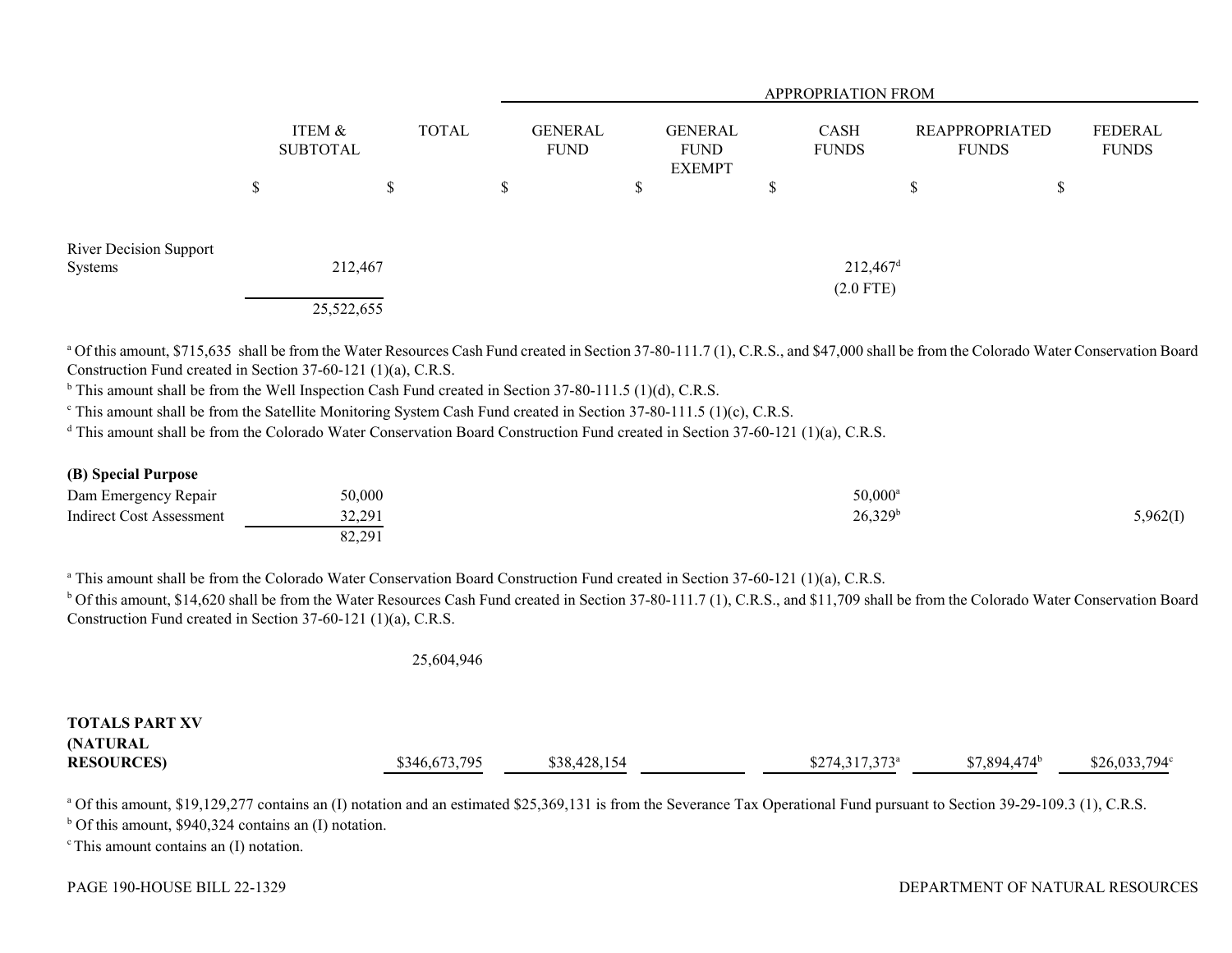|                               |                           |              | <b>APPROPRIATION FROM</b>     |                                                |        |                                       |                                |                                |  |  |
|-------------------------------|---------------------------|--------------|-------------------------------|------------------------------------------------|--------|---------------------------------------|--------------------------------|--------------------------------|--|--|
|                               | ITEM &<br><b>SUBTOTAL</b> | <b>TOTAL</b> | <b>GENERAL</b><br><b>FUND</b> | <b>GENERAL</b><br><b>FUND</b><br><b>EXEMPT</b> |        | <b>CASH</b><br><b>FUNDS</b>           | REAPPROPRIATED<br><b>FUNDS</b> | <b>FEDERAL</b><br><b>FUNDS</b> |  |  |
|                               | \$<br>\$                  | \$           |                               | \$                                             | ₼<br>D | \$                                    | \$                             |                                |  |  |
| <b>River Decision Support</b> |                           |              |                               |                                                |        |                                       |                                |                                |  |  |
| Systems                       | 212,467                   |              |                               |                                                |        | $212,467$ <sup>d</sup><br>$(2.0$ FTE) |                                |                                |  |  |
|                               | 25,522,655                |              |                               |                                                |        |                                       |                                |                                |  |  |

<sup>a</sup> Of this amount, \$715,635 shall be from the Water Resources Cash Fund created in Section 37-80-111.7 (1), C.R.S., and \$47,000 shall be from the Colorado Water Conservation Board Construction Fund created in Section 37-60-121 (1)(a), C.R.S.

<sup>b</sup> This amount shall be from the Well Inspection Cash Fund created in Section 37-80-111.5 (1)(d), C.R.S.

<sup>c</sup> This amount shall be from the Satellite Monitoring System Cash Fund created in Section 37-80-111.5 (1)(c), C.R.S.

<sup>d</sup> This amount shall be from the Colorado Water Conservation Board Construction Fund created in Section 37-60-121 (1)(a), C.R.S.

### **(B) Special Purpose**

| Dam Emergency Repair     | 50,000                | $50,000^{\circ}$    |          |
|--------------------------|-----------------------|---------------------|----------|
| Indirect Cost Assessment | 32.291<br><i>JLLJ</i> | 26,329 <sup>b</sup> | 3,962(1) |
|                          | 82.291<br>$04.29$ .   |                     |          |

<sup>a</sup> This amount shall be from the Colorado Water Conservation Board Construction Fund created in Section 37-60-121 (1)(a), C.R.S.

<sup>b</sup> Of this amount, \$14,620 shall be from the Water Resources Cash Fund created in Section 37-80-111.7 (1), C.R.S., and \$11,709 shall be from the Colorado Water Conservation Board Construction Fund created in Section 37-60-121 (1)(a), C.R.S.

#### 25,604,946

## **TOTALS PART XV(NATURAL RESOURCES)** \$346,673,795 \$38,428,154 \$274,317,373<sup>a</sup> \$7,894,474<sup>b</sup> \$26,033,794<sup>c</sup>

<sup>a</sup> Of this amount, \$19,129,277 contains an (I) notation and an estimated \$25,369,131 is from the Severance Tax Operational Fund pursuant to Section 39-29-109.3 (1), C.R.S.

 $<sup>b</sup>$  Of this amount, \$940,324 contains an (I) notation.</sup>

 $\textdegree$  This amount contains an (I) notation.